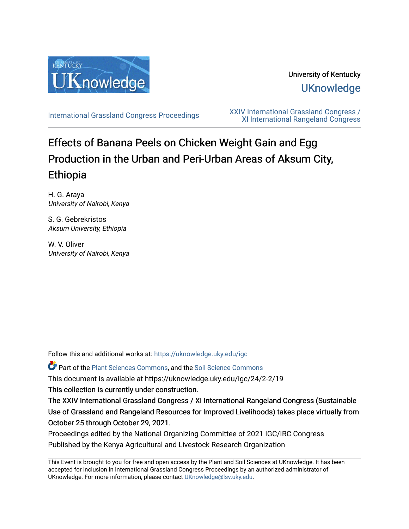

University of Kentucky **UKnowledge** 

[International Grassland Congress Proceedings](https://uknowledge.uky.edu/igc) [XXIV International Grassland Congress /](https://uknowledge.uky.edu/igc/24)  [XI International Rangeland Congress](https://uknowledge.uky.edu/igc/24) 

# Effects of Banana Peels on Chicken Weight Gain and Egg Production in the Urban and Peri-Urban Areas of Aksum City, Ethiopia

H. G. Araya University of Nairobi, Kenya

S. G. Gebrekristos Aksum University, Ethiopia

W. V. Oliver University of Nairobi, Kenya

Follow this and additional works at: [https://uknowledge.uky.edu/igc](https://uknowledge.uky.edu/igc?utm_source=uknowledge.uky.edu%2Figc%2F24%2F2-2%2F19&utm_medium=PDF&utm_campaign=PDFCoverPages) 

Part of the [Plant Sciences Commons](http://network.bepress.com/hgg/discipline/102?utm_source=uknowledge.uky.edu%2Figc%2F24%2F2-2%2F19&utm_medium=PDF&utm_campaign=PDFCoverPages), and the [Soil Science Commons](http://network.bepress.com/hgg/discipline/163?utm_source=uknowledge.uky.edu%2Figc%2F24%2F2-2%2F19&utm_medium=PDF&utm_campaign=PDFCoverPages) 

This document is available at https://uknowledge.uky.edu/igc/24/2-2/19

This collection is currently under construction.

The XXIV International Grassland Congress / XI International Rangeland Congress (Sustainable Use of Grassland and Rangeland Resources for Improved Livelihoods) takes place virtually from October 25 through October 29, 2021.

Proceedings edited by the National Organizing Committee of 2021 IGC/IRC Congress Published by the Kenya Agricultural and Livestock Research Organization

This Event is brought to you for free and open access by the Plant and Soil Sciences at UKnowledge. It has been accepted for inclusion in International Grassland Congress Proceedings by an authorized administrator of UKnowledge. For more information, please contact [UKnowledge@lsv.uky.edu](mailto:UKnowledge@lsv.uky.edu).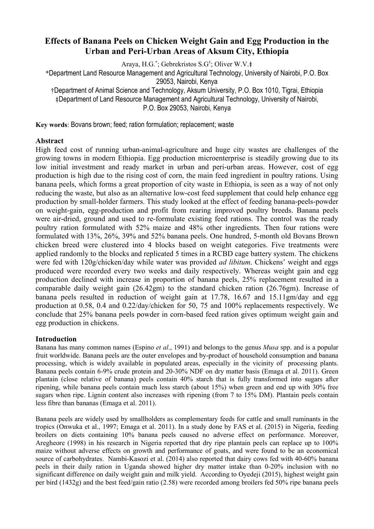# **Effects of Banana Peels on Chicken Weight Gain and Egg Production in the Urban and Peri-Urban Areas of Aksum City, Ethiopia**

Araya, H.G.\* ; Gebrekristos S.G† ; Oliver W.V.ǂ

\*Department Land Resource Management and Agricultural Technology, University of Nairobi, P.O. Box

29053, Nairobi, Kenya

†Department of Animal Science and Technology, Aksum University, P.O. Box 1010, Tigrai, Ethiopia ǂDepartment of Land Resource Management and Agricultural Technology, University of Nairobi, P.O. Box 29053, Nairobi, Kenya

**Key words**: Bovans brown; feed; ration formulation; replacement; waste

# **Abstract**

High feed cost of running urban-animal-agriculture and huge city wastes are challenges of the growing towns in modern Ethiopia. Egg production microenterprise is steadily growing due to its low initial investment and ready market in urban and peri-urban areas. However, cost of egg production is high due to the rising cost of corn, the main feed ingredient in poultry rations. Using banana peels, which forms a great proportion of city waste in Ethiopia, is seen as a way of not only reducing the waste, but also as an alternative low-cost feed supplement that could help enhance egg production by small-holder farmers. This study looked at the effect of feeding banana-peels-powder on weight-gain, egg-production and profit from rearing improved poultry breeds. Banana peels were air-dried, ground and used to re-formulate existing feed rations. The control was the ready poultry ration formulated with 52% maize and 48% other ingredients. Then four rations were formulated with 13%, 26%, 39% and 52% banana peels. One hundred, 5-month old Bovans Brown chicken breed were clustered into 4 blocks based on weight categories. Five treatments were applied randomly to the blocks and replicated 5 times in a RCBD cage battery system. The chickens were fed with 120g/chicken/day while water was provided *ad libitum*. Chickens' weight and eggs produced were recorded every two weeks and daily respectively. Whereas weight gain and egg production declined with increase in proportion of banana peels, 25% replacement resulted in a comparable daily weight gain (26.42gm) to the standard chicken ration (26.76gm). Increase of banana peels resulted in reduction of weight gain at 17.78, 16.67 and 15.11gm/day and egg production at 0.58, 0.4 and 0.22/day/chicken for 50, 75 and 100% replacements respectively. We conclude that 25% banana peels powder in corn-based feed ration gives optimum weight gain and egg production in chickens.

# **Introduction**

Banana has many common names (Espino *et al*., 1991) and belongs to the genus *Musa* spp. and is a popular fruit worldwide. Banana peels are the outer envelopes and by-product of household consumption and banana processing, which is widely available in populated areas, especially in the vicinity of processing plants. Banana peels contain 6-9% crude protein and 20-30% NDF on dry matter basis (Emaga et al. 2011). Green plantain (close relative of banana) peels contain 40% starch that is fully transformed into sugars after ripening, while banana peels contain much less starch (about 15%) when green and end up with 30% free sugars when ripe. Lignin content also increases with ripening (from 7 to 15% DM). Plantain peels contain less fibre than bananas (Emaga et al. 2011).

Banana peels are widely used by smallholders as complementary feeds for cattle and small ruminants in the tropics (Onwuka et al., 1997; Emaga et al. 2011). In a study done by FAS et al. (2015) in Nigeria, feeding broilers on diets containing 10% banana peels caused no adverse effect on performance. Moreover, Aregheore (1998) in his research in Nigeria reported that dry ripe plantain peels can replace up to 100% maize without adverse effects on growth and performance of goats, and were found to be an economical source of carbohydrates. Nambi-Kasozi et al. (2014) also reported that dairy cows fed with 40-60% banana peels in their daily ration in Uganda showed higher dry matter intake than 0-20% inclusion with no significant difference on daily weight gain and milk yield. According to Oyedeji (2015), highest weight gain per bird (1432g) and the best feed/gain ratio (2.58) were recorded among broilers fed 50% ripe banana peels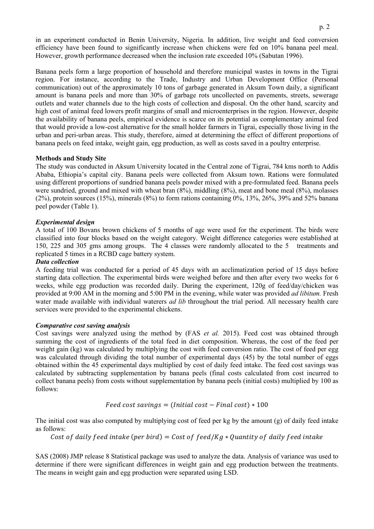in an experiment conducted in Benin University, Nigeria. In addition, live weight and feed conversion efficiency have been found to significantly increase when chickens were fed on 10% banana peel meal. However, growth performance decreased when the inclusion rate exceeded 10% (Sabutan 1996).

Banana peels form a large proportion of household and therefore municipal wastes in towns in the Tigrai region. For instance, according to the Trade, Industry and Urban Development Office (Personal communication) out of the approximately 10 tons of garbage generated in Aksum Town daily, a significant amount is banana peels and more than 30% of garbage rots uncollected on pavements, streets, sewerage outlets and water channels due to the high costs of collection and disposal. On the other hand, scarcity and high cost of animal feed lowers profit margins of small and microenterprises in the region. However, despite the availability of banana peels, empirical evidence is scarce on its potential as complementary animal feed that would provide a low-cost alternative for the small holder farmers in Tigrai, especially those living in the urban and peri-urban areas. This study, therefore, aimed at determining the effect of different proportions of banana peels on feed intake, weight gain, egg production, as well as costs saved in a poultry enterprise.

# **Methods and Study Site**

The study was conducted in Aksum University located in the Central zone of Tigrai, 784 kms north to Addis Ababa, Ethiopia's capital city. Banana peels were collected from Aksum town. Rations were formulated using different proportions of sundried banana peels powder mixed with a pre-formulated feed. Banana peels were sundried, ground and mixed with wheat bran (8%), middling (8%), meat and bone meal (8%), molasses (2%), protein sources (15%), minerals (8%) to form rations containing 0%, 13%, 26%, 39% and 52% banana peel powder (Table 1).

#### *Experimental design*

A total of 100 Bovans brown chickens of 5 months of age were used for the experiment. The birds were classified into four blocks based on the weight category. Weight difference categories were established at 150, 225 and 305 gms among groups. The 4 classes were randomly allocated to the 5 treatments and replicated 5 times in a RCBD cage battery system.

#### *Data collection*

A feeding trial was conducted for a period of 45 days with an acclimatization period of 15 days before starting data collection. The experimental birds were weighed before and then after every two weeks for 6 weeks, while egg production was recorded daily. During the experiment, 120g of feed/day/chicken was provided at 9:00 AM in the morning and 5:00 PM in the evening, while water was provided *ad libitum.* Fresh water made available with individual waterers *ad lib* throughout the trial period. All necessary health care services were provided to the experimental chickens.

#### *Comparative cost saving analysis*

Cost savings were analyzed using the method by (FAS *et al.* 2015). Feed cost was obtained through summing the cost of ingredients of the total feed in diet composition. Whereas, the cost of the feed per weight gain (kg) was calculated by multiplying the cost with feed conversion ratio. The cost of feed per egg was calculated through dividing the total number of experimental days (45) by the total number of eggs obtained within the 45 experimental days multiplied by cost of daily feed intake. The feed cost savings was calculated by subtracting supplementation by banana peels (final costs calculated from cost incurred to collect banana peels) from costs without supplementation by banana peels (initial costs) multiplied by 100 as follows:

$$
Feed cost savings = (Initial cost - Final cost) * 100
$$

The initial cost was also computed by multiplying cost of feed per kg by the amount (g) of daily feed intake as follows:

Cost of daily feed intake (per bird) = Cost of feed/Kg  $*$  Ouantity of daily feed intake

SAS (2008) JMP release 8 Statistical package was used to analyze the data. Analysis of variance was used to determine if there were significant differences in weight gain and egg production between the treatments. The means in weight gain and egg production were separated using LSD.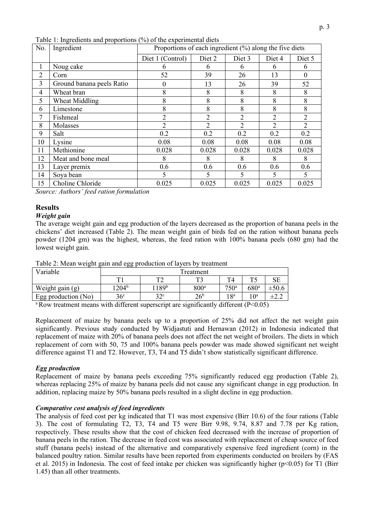| No.            | Ingredient                | racio 1: ingredients and proportions (70) or the experimental diets<br>Proportions of each ingredient $(\%)$ along the five diets |                |                |                |                |  |
|----------------|---------------------------|-----------------------------------------------------------------------------------------------------------------------------------|----------------|----------------|----------------|----------------|--|
|                |                           | Diet 1 (Control)                                                                                                                  | Diet 2         | Diet 3         | Diet 4         | Diet 5         |  |
| 1              | Noug cake                 | n                                                                                                                                 | 6              | 6              | 6              | 6              |  |
| $\overline{2}$ | Corn                      | 52                                                                                                                                | 39             | 26             | 13             | $\theta$       |  |
| 3              | Ground banana peels Ratio | 0                                                                                                                                 | 13             | 26             | 39             | 52             |  |
| $\overline{4}$ | Wheat bran                | 8                                                                                                                                 | 8              | 8              | 8              | 8              |  |
| 5              | Wheat Middling            | 8                                                                                                                                 | 8              | 8              | 8              | 8              |  |
| 6              | Limestone                 | 8                                                                                                                                 | 8              | 8              | 8              | 8              |  |
| $\tau$         | Fishmeal                  | 2                                                                                                                                 | 2              | 2              | 2              | $\overline{2}$ |  |
| 8              | Molasses                  | $\overline{2}$                                                                                                                    | $\overline{2}$ | $\overline{2}$ | $\overline{2}$ | $\overline{2}$ |  |
| 9              | Salt                      | 0.2                                                                                                                               | 0.2            | 0.2            | 0.2            | 0.2            |  |
| 10             | Lysine                    | 0.08                                                                                                                              | 0.08           | 0.08           | 0.08           | 0.08           |  |
| 11             | Methionine                | 0.028                                                                                                                             | 0.028          | 0.028          | 0.028          | 0.028          |  |
| 12             | Meat and bone meal        | 8                                                                                                                                 | 8              | 8              | 8              | 8              |  |
| 13             | Layer premix              | 0.6                                                                                                                               | 0.6            | 0.6            | 0.6            | 0.6            |  |
| 14             | Soya bean                 | 5                                                                                                                                 | 5              | 5              | 5              | 5              |  |
| 15             | Choline Chloride          | 0.025                                                                                                                             | 0.025          | 0.025          | 0.025          | 0.025          |  |

Table 1: Ingredients and proportions  $\left(\frac{0}{0}\right)$  of the experimental diets

*Source: Authors' feed ration formulation* 

# **Results**

#### *Weight gain*

The average weight gain and egg production of the layers decreased as the proportion of banana peels in the chickens' diet increased (Table 2). The mean weight gain of birds fed on the ration without banana peels powder (1204 gm) was the highest, whereas, the feed ration with 100% banana peels (680 gm) had the lowest weight gain.

Table 2: Mean weight gain and egg production of layers by treatment

| Variable              | Treatment         |                    |                  |                  |                  |             |  |
|-----------------------|-------------------|--------------------|------------------|------------------|------------------|-------------|--|
|                       | $\mathbf{r}$      | mо.                | $T^{\prime}$     | T4               | ጥራ               | $_{\rm SE}$ |  |
| Weight gain (g)       | 1204 <sup>b</sup> | l 189 <sup>b</sup> | 800 <sup>a</sup> | 750 <sup>a</sup> | 680 <sup>a</sup> | $\pm 50.6$  |  |
| Egg production $(No)$ | 36 <sup>c</sup>   | 22c                | 26 <sup>b</sup>  | 18 <sup>a</sup>  | $10^{\rm a}$     | ±2.2        |  |

<sup>a</sup> Row treatment means with different superscript are significantly different (P<0.05)

Replacement of maize by banana peels up to a proportion of 25% did not affect the net weight gain significantly. Previous study conducted by Widjastuti and Hernawan (2012) in Indonesia indicated that replacement of maize with 20% of banana peels does not affect the net weight of broilers. The diets in which replacement of corn with 50, 75 and 100% banana peels powder was made showed significant net weight difference against T1 and T2. However, T3, T4 and T5 didn't show statistically significant difference.

#### *Egg production*

Replacement of maize by banana peels exceeding 75% significantly reduced egg production (Table 2), whereas replacing 25% of maize by banana peels did not cause any significant change in egg production. In addition, replacing maize by 50% banana peels resulted in a slight decline in egg production.

#### *Comparative cost analysis of feed ingredients*

The analysis of feed cost per kg indicated that T1 was most expensive (Birr 10.6) of the four rations (Table 3). The cost of formulating T2, T3, T4 and T5 were Birr 9.98, 9.74, 8.87 and 7.78 per Kg ration, respectively. These results show that the cost of chicken feed decreased with the increase of proportion of banana peels in the ration. The decrease in feed cost was associated with replacement of cheap source of feed stuff (banana peels) instead of the alternative and comparatively expensive feed ingredient (corn) in the balanced poultry ration. Similar results have been reported from experiments conducted on broilers by (FAS et al. 2015) in Indonesia. The cost of feed intake per chicken was significantly higher (p<0.05) for T1 (Birr 1.45) than all other treatments.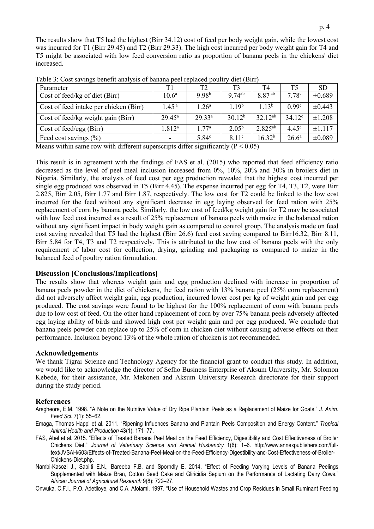The results show that T5 had the highest (Birr 34.12) cost of feed per body weight gain, while the lowest cost was incurred for T1 (Birr 29.45) and T2 (Birr 29.33). The high cost incurred per body weight gain for T4 and T5 might be associated with low feed conversion ratio as proportion of banana peels in the chickens' diet increased.

| Parameter                              |                   | T <sub>2</sub>                            | T3                | T4                 | T <sub>5</sub>    | <b>SD</b>   |
|----------------------------------------|-------------------|-------------------------------------------|-------------------|--------------------|-------------------|-------------|
| Cost of feed/kg of diet (Birr)         | 10.6 <sup>a</sup> | 9.98 <sup>b</sup>                         | $9.74^{ab}$       | 8.87 <sup>ab</sup> | 7.78 <sup>c</sup> | ±0.689      |
| Cost of feed intake per chicken (Birr) | 1.45 <sup>a</sup> | $1.26^{\circ}$                            | 1.19 <sup>b</sup> | $1.13^{b}$         | 0.99 <sup>c</sup> | $\pm 0.443$ |
| Cost of feed/kg weight gain (Birr)     | $29.45^{\rm a}$   | 29.33 <sup>a</sup>                        | $30.12^{b}$       | $32.12^{ab}$       | $34.12^{\circ}$   | ±1.208      |
| Cost of feed/egg (Birr)                | $1.812^{\rm a}$   | 1.77 <sup>a</sup>                         | $2.05^{\rm b}$    | $2.825^{ab}$       | $4.45^{\circ}$    | ±1.117      |
| Feed cost savings $(\% )$<br>.         | ----              | 5.84 <sup>c</sup><br>$\sim$ $\sim$ $\sim$ | 8.11 <sup>c</sup> | $16.32^{b}$        | $26.6^{\rm a}$    | $\pm 0.089$ |

Table 3: Cost savings benefit analysis of banana peel replaced poultry diet (Birr)

Means within same row with different superscripts differ significantly ( $P \le 0.05$ )

This result is in agreement with the findings of FAS et al. (2015) who reported that feed efficiency ratio decreased as the level of peel meal inclusion increased from 0%, 10%, 20% and 30% in broilers diet in Nigeria. Similarly, the analysis of feed cost per egg production revealed that the highest cost incurred per single egg produced was observed in T5 (Birr 4.45). The expense incurred per egg for T4, T3, T2, were Birr 2.825, Birr 2.05, Birr 1.77 and Birr 1.87, respectively. The low cost for T2 could be linked to the low cost incurred for the feed without any significant decrease in egg laying observed for feed ration with 25% replacement of corn by banana peels. Similarly, the low cost of feed/kg weight gain for T2 may be associated with low feed cost incurred as a result of 25% replacement of banana peels with maize in the balanced ration without any significant impact in body weight gain as compared to control group. The analysis made on feed cost saving revealed that T5 had the highest (Birr 26.6) feed cost saving compared to Birr16.32, Birr 8.11, Birr 5.84 for T4, T3 and T2 respectively. This is attributed to the low cost of banana peels with the only requirement of labor cost for collection, drying, grinding and packaging as compared to maize in the balanced feed of poultry ration formulation.

# **Discussion [Conclusions/Implications]**

The results show that whereas weight gain and egg production declined with increase in proportion of banana peels powder in the diet of chickens, the feed ration with 13% banana peel (25% corn replacement) did not adversely affect weight gain, egg production, incurred lower cost per kg of weight gain and per egg produced. The cost savings were found to be highest for the 100% replacement of corn with banana peels due to low cost of feed. On the other hand replacement of corn by over 75% banana peels adversely affected egg laying ability of birds and showed high cost per weight gain and per egg produced. We conclude that banana peels powder can replace up to 25% of corn in chicken diet without causing adverse effects on their performance. Inclusion beyond 13% of the whole ration of chicken is not recommended.

# **Acknowledgements**

We thank Tigrai Science and Technology Agency for the financial grant to conduct this study. In addition, we would like to acknowledge the director of Sefho Business Enterprise of Aksum University, Mr. Solomon Kebede, for their assistance, Mr. Mekonen and Aksum University Research directorate for their support during the study period.

# **References**

- Aregheore, E.M. 1998. "A Note on the Nutritive Value of Dry Ripe Plantain Peels as a Replacement of Maize for Goats." *J. Anim. Feed Sci.* 7(1): 55–62.
- Emaga, Thomas Happi et al. 2011. "Ripening Influences Banana and Plantain Peels Composition and Energy Content." *Tropical Animal Health and Production* 43(1): 171–77.
- FAS, Abel et al. 2015. "Effects of Treated Banana Peel Meal on the Feed Efficiency, Digestibility and Cost Effectiveness of Broiler Chickens Diet." *Journal of Veterinary Science and Animal Husbandry* 1(6): 1–6. http://www.annexpublishers.com/fulltext/JVSAH/603/Effects-of-Treated-Banana-Peel-Meal-on-the-Feed-Efficiency-Digestibility-and-Cost-Effectiveness-of-Broiler-Chickens-Diet.php.
- Nambi-Kasozi J., Sabiiti E.N., Bareeba F.B. and Sporndly E. 2014. "Effect of Feeding Varying Levels of Banana Peelings Supplemented with Maize Bran, Cotton Seed Cake and Gliricidia Sepium on the Performance of Lactating Dairy Cows." *African Journal of Agricultural Research* 9(8): 722–27.

Onwuka, C.F.I., P.O. Adetiloye, and C.A. Afolami. 1997. "Use of Household Wastes and Crop Residues in Small Ruminant Feeding